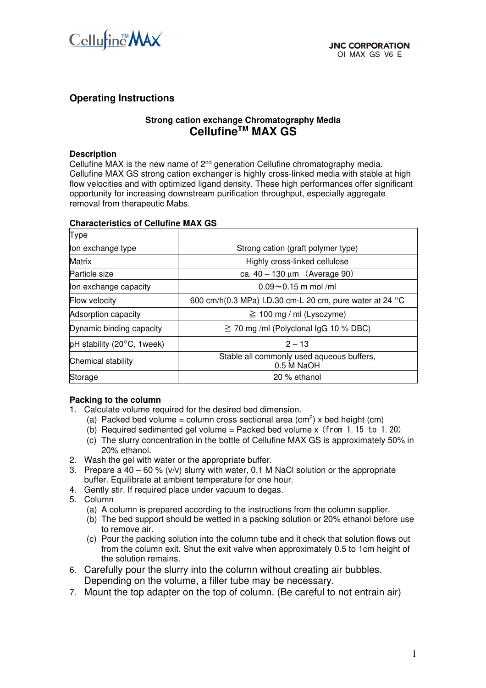

# **Operating Instructions**

## **Strong cation exchange Chromatography Media CellufineTM MAX GS**

#### **Description**

Cellufine MAX is the new name of 2<sup>nd</sup> generation Cellufine chromatography media. Cellufine MAX GS strong cation exchanger is highly cross-linked media with stable at high flow velocities and with optimized ligand density. These high performances offer significant opportunity for increasing downstream purification throughput, especially aggregate removal from therapeutic Mabs.

| Type                                           |                                                          |  |  |  |
|------------------------------------------------|----------------------------------------------------------|--|--|--|
| lon exchange type                              | Strong cation (graft polymer type)                       |  |  |  |
| <b>Matrix</b>                                  | Highly cross-linked cellulose                            |  |  |  |
| Particle size                                  | ca. $40 - 130 \,\mu m$ (Average 90)                      |  |  |  |
| lon exchange capacity                          | $0.09 \sim 0.15$ m mol/ml                                |  |  |  |
| Flow velocity                                  | 600 cm/h(0.3 MPa) I.D.30 cm-L 20 cm, pure water at 24 °C |  |  |  |
| <b>Adsorption capacity</b>                     | $\geq 100$ mg / ml (Lysozyme)                            |  |  |  |
| Dynamic binding capacity                       | $\geq$ 70 mg/ml (Polyclonal lgG 10 % DBC)                |  |  |  |
| pH stability (20 $\mathrm{^{\circ}C}$ , 1week) | $2 - 13$                                                 |  |  |  |
| <b>Chemical stability</b>                      | Stable all commonly used aqueous buffers,<br>0.5 M NaOH  |  |  |  |
| Storage                                        | 20 % ethanol                                             |  |  |  |

#### **Characteristics of Cellufine MAX GS**

#### **Packing to the column**

- 1. Calculate volume required for the desired bed dimension.
	- (a) Packed bed volume = column cross sectional area  $(cm^2)$  x bed height  $(cm)$
	- (b) Required sedimented gel volume = Packed bed volume  $x$  (from 1.15 to 1.20)
	- (c) The slurry concentration in the bottle of Cellufine MAX GS is approximately 50% in 20% ethanol.
- 2. Wash the gel with water or the appropriate buffer.
- 3. Prepare a  $40 60$  % (v/v) slurry with water, 0.1 M NaCl solution or the appropriate buffer. Equilibrate at ambient temperature for one hour.
- 4. Gently stir. If required place under vacuum to degas.
- 5. Column

(a) A column is prepared according to the instructions from the column supplier.

- (b) The bed support should be wetted in a packing solution or 20% ethanol before use to remove air.
- (c) Pour the packing solution into the column tube and it check that solution flows out from the column exit. Shut the exit valve when approximately 0.5 to 1cm height of the solution remains.
- 6. Carefully pour the slurry into the column without creating air bubbles. Depending on the volume, a filler tube may be necessary.
- 7. Mount the top adapter on the top of column. (Be careful to not entrain air)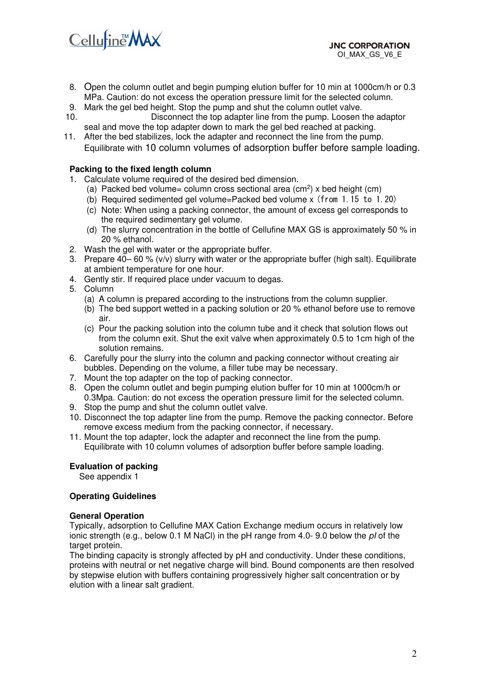

- 8. Open the column outlet and begin pumping elution buffer for 10 min at 1000cm/h or 0.3 MPa. Caution: do not excess the operation pressure limit for the selected column.
- 9. Mark the gel bed height. Stop the pump and shut the column outlet valve.
- 10. Disconnect the top adapter line from the pump. Loosen the adaptor seal and move the top adapter down to mark the gel bed reached at packing.
- 11. After the bed stabilizes, lock the adapter and reconnect the line from the pump. Equilibrate with 10 column volumes of adsorption buffer before sample loading.

#### **Packing to the fixed length column**

- 1. Calculate volume required of the desired bed dimension.
	- (a) Packed bed volume= column cross sectional area  $(cm^2)$  x bed height  $(cm)$
	- (b) Required sedimented gel volume=Packed bed volume x (from 1.15 to 1.20)
	- (c) Note: When using a packing connector, the amount of excess gel corresponds to the required sedimentary gel volume.
	- (d) The slurry concentration in the bottle of Cellufine MAX GS is approximately 50 % in 20 % ethanol.
- 2. Wash the gel with water or the appropriate buffer.
- 3. Prepare 40– 60 % (v/v) slurry with water or the appropriate buffer (high salt). Equilibrate at ambient temperature for one hour.
- 4. Gently stir. If required place under vacuum to degas.
- 5. Column
	- (a) A column is prepared according to the instructions from the column supplier.
	- (b) The bed support wetted in a packing solution or 20 % ethanol before use to remove air.
	- (c) Pour the packing solution into the column tube and it check that solution flows out from the column exit. Shut the exit valve when approximately 0.5 to 1cm high of the solution remains.
- 6. Carefully pour the slurry into the column and packing connector without creating air bubbles. Depending on the volume, a filler tube may be necessary.
- 7. Mount the top adapter on the top of packing connector.
- 8. Open the column outlet and begin pumping elution buffer for 10 min at 1000cm/h or 0.3Mpa. Caution: do not excess the operation pressure limit for the selected column.
- 9. Stop the pump and shut the column outlet valve.
- 10. Disconnect the top adapter line from the pump. Remove the packing connector. Before remove excess medium from the packing connector, if necessary.
- 11. Mount the top adapter, lock the adapter and reconnect the line from the pump. Equilibrate with 10 column volumes of adsorption buffer before sample loading.

#### **Evaluation of packing**

See appendix 1

### **Operating Guidelines**

#### **General Operation**

Typically, adsorption to Cellufine MAX Cation Exchange medium occurs in relatively low ionic strength (e.g., below 0.1 M NaCl) in the pH range from 4.0- 9.0 below the *pI* of the target protein.

The binding capacity is strongly affected by pH and conductivity. Under these conditions, proteins with neutral or net negative charge will bind. Bound components are then resolved by stepwise elution with buffers containing progressively higher salt concentration or by elution with a linear salt gradient.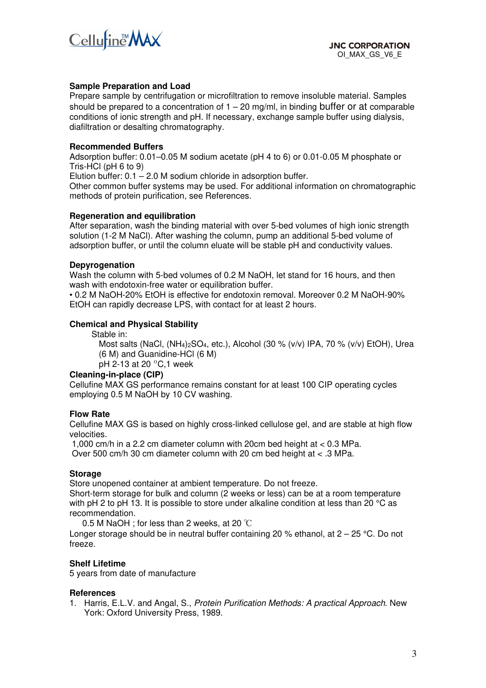

#### **Sample Preparation and Load**

Prepare sample by centrifugation or microfiltration to remove insoluble material. Samples should be prepared to a concentration of  $1 - 20$  mg/ml, in binding buffer or at comparable conditions of ionic strength and pH. If necessary, exchange sample buffer using dialysis, diafiltration or desalting chromatography.

#### **Recommended Buffers**

Adsorption buffer: 0.01–0.05 M sodium acetate (pH 4 to 6) or 0.01-0.05 M phosphate or Tris-HCl (pH 6 to 9)

Elution buffer:  $0.1 - 2.0$  M sodium chloride in adsorption buffer.

Other common buffer systems may be used. For additional information on chromatographic methods of protein purification, see References.

#### **Regeneration and equilibration**

After separation, wash the binding material with over 5-bed volumes of high ionic strength solution (1-2 M NaCl). After washing the column, pump an additional 5-bed volume of adsorption buffer, or until the column eluate will be stable pH and conductivity values.

#### **Depyrogenation**

Wash the column with 5-bed volumes of 0.2 M NaOH, let stand for 16 hours, and then wash with endotoxin-free water or equilibration buffer.

• 0.2 M NaOH-20% EtOH is effective for endotoxin removal. Moreover 0.2 M NaOH-90% EtOH can rapidly decrease LPS, with contact for at least 2 hours.

#### **Chemical and Physical Stability**

Stable in:

Most salts (NaCl, (NH4)2SO4, etc.), Alcohol (30 % (v/v) IPA, 70 % (v/v) EtOH), Urea (6 M) and Guanidine-HCl (6 M)

pH 2-13 at 20 ºC,1 week

#### **Cleaning-in-place (CIP)**

Cellufine MAX GS performance remains constant for at least 100 CIP operating cycles employing 0.5 M NaOH by 10 CV washing.

#### **Flow Rate**

Cellufine MAX GS is based on highly cross-linked cellulose gel, and are stable at high flow velocities.

 1,000 cm/h in a 2.2 cm diameter column with 20cm bed height at < 0.3 MPa. Over 500 cm/h 30 cm diameter column with 20 cm bed height at < .3 MPa.

#### **Storage**

Store unopened container at ambient temperature. Do not freeze.

Short-term storage for bulk and column (2 weeks or less) can be at a room temperature with pH 2 to pH 13. It is possible to store under alkaline condition at less than 20 °C as recommendation.

0.5 M NaOH : for less than 2 weeks, at 20  $°C$ 

Longer storage should be in neutral buffer containing 20 % ethanol, at  $2 - 25$  °C. Do not freeze.

#### **Shelf Lifetime**

5 years from date of manufacture

#### **References**

1. Harris, E.L.V. and Angal, S., *Protein Purification Methods: A practical Approach*. New York: Oxford University Press, 1989.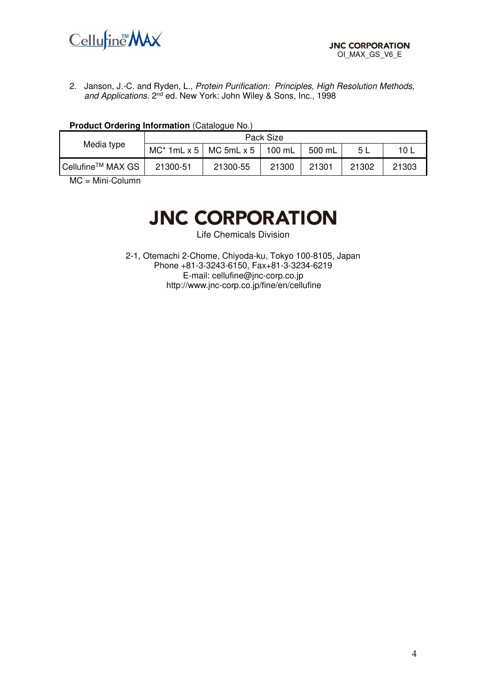

2. Janson, J.-C. and Ryden, L., *Protein Purification: Principles, High Resolution Methods,*  and Applications. 2<sup>nd</sup> ed. New York: John Wiley & Sons, Inc., 1998

| Media type                    | Pack Size                         |          |        |        |       |       |  |
|-------------------------------|-----------------------------------|----------|--------|--------|-------|-------|--|
|                               | $MC^*$ 1mL x 5 $\vert$ MC 5mL x 5 |          | 100 mL | 500 mL | -5 L  | 10 L  |  |
| Cellufine <sup>™</sup> MAX GS | 21300-51                          | 21300-55 | 21300  | 21301  | 21302 | 21303 |  |

#### **Product Ordering Information** (Catalogue No.)

MC = Mini-Column

# **JNC CORPORATION**

Life Chemicals Division

2-1, Otemachi 2-Chome, Chiyoda-ku, Tokyo 100-8105, Japan Phone +81-3-3243-6150, Fax+81-3-3234-6219 E-mail: cellufine@jnc-corp.co.jp http://www.jnc-corp.co.jp/fine/en/cellufine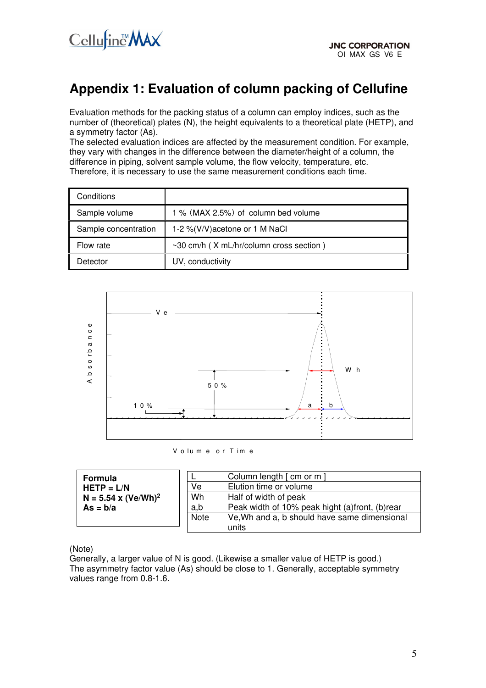

# **Appendix 1: Evaluation of column packing of Cellufine**

Evaluation methods for the packing status of a column can employ indices, such as the number of (theoretical) plates (N), the height equivalents to a theoretical plate (HETP), and a symmetry factor (As).

The selected evaluation indices are affected by the measurement condition. For example, they vary with changes in the difference between the diameter/height of a column, the difference in piping, solvent sample volume, the flow velocity, temperature, etc. Therefore, it is necessary to use the same measurement conditions each time.

| Conditions           |                                               |
|----------------------|-----------------------------------------------|
| Sample volume        | 1 % (MAX 2.5%) of column bed volume           |
| Sample concentration | 1-2 %(V/V) acetone or 1 M NaCl                |
| Flow rate            | $\sim$ 30 cm/h (X mL/hr/column cross section) |
| Detector             | UV, conductivity                              |



V o lu m e or T im e

| Formula                                           |             | Column length [ cm or m                        |
|---------------------------------------------------|-------------|------------------------------------------------|
| $HETP = L/N$<br>$N = 5.54$ x (Ve/Wh) <sup>2</sup> | Ve          | Elution time or volume                         |
|                                                   | Wh          | Half of width of peak                          |
| $As = b/a$                                        | a,b         | Peak width of 10% peak hight (a)front, (b)rear |
|                                                   | <b>Note</b> | Ve, Wh and a, b should have same dimensional   |
|                                                   |             | units                                          |

(Note)

Generally, a larger value of N is good. (Likewise a smaller value of HETP is good.) The asymmetry factor value (As) should be close to 1. Generally, acceptable symmetry values range from 0.8-1.6.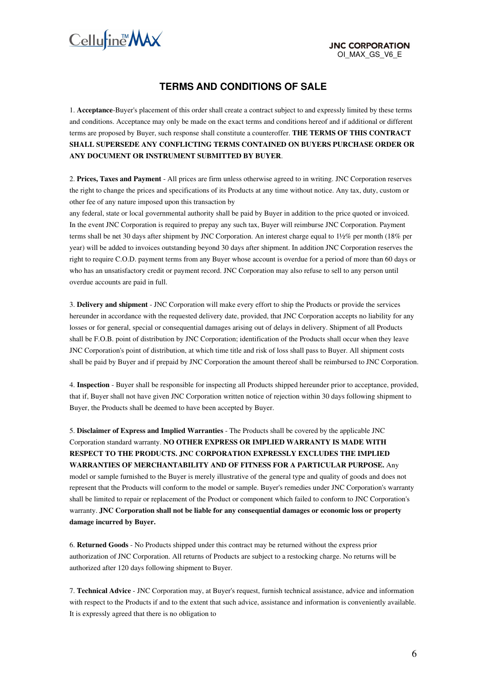

# **TERMS AND CONDITIONS OF SALE**

1. **Acceptance**-Buyer's placement of this order shall create a contract subject to and expressly limited by these terms and conditions. Acceptance may only be made on the exact terms and conditions hereof and if additional or different terms are proposed by Buyer, such response shall constitute a counteroffer. **THE TERMS OF THIS CONTRACT SHALL SUPERSEDE ANY CONFLICTING TERMS CONTAINED ON BUYERS PURCHASE ORDER OR ANY DOCUMENT OR INSTRUMENT SUBMITTED BY BUYER**.

2. **Prices, Taxes and Payment** - All prices are firm unless otherwise agreed to in writing. JNC Corporation reserves the right to change the prices and specifications of its Products at any time without notice. Any tax, duty, custom or other fee of any nature imposed upon this transaction by

any federal, state or local governmental authority shall be paid by Buyer in addition to the price quoted or invoiced. In the event JNC Corporation is required to prepay any such tax, Buyer will reimburse JNC Corporation. Payment terms shall be net 30 days after shipment by JNC Corporation. An interest charge equal to 1½% per month (18% per year) will be added to invoices outstanding beyond 30 days after shipment. In addition JNC Corporation reserves the right to require C.O.D. payment terms from any Buyer whose account is overdue for a period of more than 60 days or who has an unsatisfactory credit or payment record. JNC Corporation may also refuse to sell to any person until overdue accounts are paid in full.

3. **Delivery and shipment** - JNC Corporation will make every effort to ship the Products or provide the services hereunder in accordance with the requested delivery date, provided, that JNC Corporation accepts no liability for any losses or for general, special or consequential damages arising out of delays in delivery. Shipment of all Products shall be F.O.B. point of distribution by JNC Corporation; identification of the Products shall occur when they leave JNC Corporation's point of distribution, at which time title and risk of loss shall pass to Buyer. All shipment costs shall be paid by Buyer and if prepaid by JNC Corporation the amount thereof shall be reimbursed to JNC Corporation.

4. **Inspection** - Buyer shall be responsible for inspecting all Products shipped hereunder prior to acceptance, provided, that if, Buyer shall not have given JNC Corporation written notice of rejection within 30 days following shipment to Buyer, the Products shall be deemed to have been accepted by Buyer.

5. **Disclaimer of Express and Implied Warranties** - The Products shall be covered by the applicable JNC Corporation standard warranty. **NO OTHER EXPRESS OR IMPLIED WARRANTY IS MADE WITH RESPECT TO THE PRODUCTS. JNC CORPORATION EXPRESSLY EXCLUDES THE IMPLIED WARRANTIES OF MERCHANTABILITY AND OF FITNESS FOR A PARTICULAR PURPOSE.** Any model or sample furnished to the Buyer is merely illustrative of the general type and quality of goods and does not represent that the Products will conform to the model or sample. Buyer's remedies under JNC Corporation's warranty shall be limited to repair or replacement of the Product or component which failed to conform to JNC Corporation's warranty. **JNC Corporation shall not be liable for any consequential damages or economic loss or property damage incurred by Buyer.** 

6. **Returned Goods** - No Products shipped under this contract may be returned without the express prior authorization of JNC Corporation. All returns of Products are subject to a restocking charge. No returns will be authorized after 120 days following shipment to Buyer.

7. **Technical Advice** - JNC Corporation may, at Buyer's request, furnish technical assistance, advice and information with respect to the Products if and to the extent that such advice, assistance and information is conveniently available. It is expressly agreed that there is no obligation to